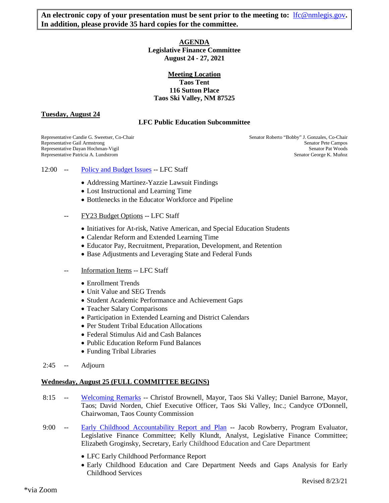An electronic copy of your presentation must be sent prior to the meeting to: **[lfc@nmlegis.gov](mailto:lfc@nmlegis.gov)**. **In addition, please provide 35 hard copies for the committee.** 

### **AGENDA Legislative Finance Committee August 24 - 27, 2021**

# **Meeting Location Taos Tent 116 Sutton Place Taos Ski Valley, NM 87525**

**Tuesday, August 24**

# **LFC Public Education Subcommittee**

Representative Patricia A. Lundstrom

Representative Candie G. Sweetser, Co-Chair Senator Roberto "Bobby" J. Gonzales, Co-Chair Senator Roberto "Bobby" J. Gonzales, Co-Chair Representative Gail Armstrong Senator Pete Campos Senator Pete Campos Senator Pete Campos Senator Pete Campos<br>Representative Dayan Hochman-Vigil Representative Dayan Hochman-Vigil Senator Pat Woods<br>Representative Patricia A. Lundstrom Senator Patic Senator George K. Muñoz

- 12:00 -- [Policy and Budget Issues](https://www.nmlegis.gov/Committee/Handouts?CommitteeCode=ALFC&Date=8/24/2021&ItemNumber=1) -- LFC Staff
	- Addressing Martinez-Yazzie Lawsuit Findings
	- Lost Instructional and Learning Time
	- Bottlenecks in the Educator Workforce and Pipeline
	- FY23 Budget Options -- LFC Staff
		- Initiatives for At-risk, Native American, and Special Education Students
		- Calendar Reform and Extended Learning Time
		- Educator Pay, Recruitment, Preparation, Development, and Retention
		- Base Adjustments and Leveraging State and Federal Funds
	- Information Items -- LFC Staff
		- Enrollment Trends
		- Unit Value and SEG Trends
		- Student Academic Performance and Achievement Gaps
		- Teacher Salary Comparisons
		- Participation in Extended Learning and District Calendars
		- Per Student Tribal Education Allocations
		- Federal Stimulus Aid and Cash Balances
		- Public Education Reform Fund Balances
		- Funding Tribal Libraries
- 2:45 -- Adjourn

#### **Wednesday, August 25 (FULL COMMITTEE BEGINS)**

- 8:15 -- [Welcoming Remarks](https://www.nmlegis.gov/Committee/Handouts?CommitteeCode=ALFC&Date=8/24/2021&ItemNumber=2) -- Christof Brownell, Mayor, Taos Ski Valley; Daniel Barrone, Mayor, Taos; David Norden, Chief Executive Officer, Taos Ski Valley, Inc.; Candyce O'Donnell, Chairwoman, Taos County Commission
- 9:00 -- [Early Childhood Accountability Report and Plan](https://www.nmlegis.gov/Committee/Handouts?CommitteeCode=ALFC&Date=8/24/2021&ItemNumber=3) -- Jacob Rowberry, Program Evaluator, Legislative Finance Committee; Kelly Klundt, Analyst, Legislative Finance Committee; Elizabeth Groginsky, Secretary, Early Childhood Education and Care Department
	- LFC Early Childhood Performance Report
	- Early Childhood Education and Care Department Needs and Gaps Analysis for Early Childhood Services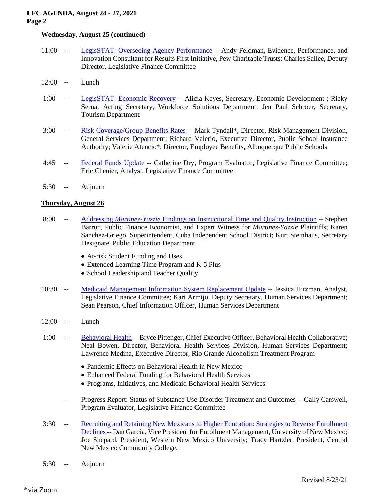# **LFC AGENDA, August 24 - 27, 2021 Page 2**

# **Wednesday, August 25 (continued)**

- 11:00 -- [LegisSTAT: Overseeing Agency Performance](https://www.nmlegis.gov/Committee/Handouts?CommitteeCode=ALFC&Date=8/24/2021&ItemNumber=4) -- Andy Feldman, Evidence, Performance, and Innovation Consultant for Results First Initiative, Pew Charitable Trusts; Charles Sallee, Deputy Director, Legislative Finance Committee
- 12:00 -- Lunch
- 1:00 -- [LegisSTAT: Economic Recovery](https://www.nmlegis.gov/Committee/Handouts?CommitteeCode=ALFC&Date=8/24/2021&ItemNumber=5) -- Alicia Keyes, Secretary, Economic Development ; Ricky Serna, Acting Secretary, Workforce Solutions Department; Jen Paul Schroer, Secretary, Tourism Department
- 3:00 -- [Risk Coverage/Group Benefits Rates](https://www.nmlegis.gov/Committee/Handouts?CommitteeCode=ALFC&Date=8/24/2021&ItemNumber=6) -- Mark Tyndall\*, Director, Risk Management Division, General Services Department; Richard Valerio, Executive Director, Public School Insurance Authority; Valerie Atencio\*, Director, Employee Benefits, Albuquerque Public Schools
- 4:45 -- [Federal Funds Update](https://www.nmlegis.gov/Committee/Handouts?CommitteeCode=ALFC&Date=8/24/2021&ItemNumber=7) -- Catherine Dry, Program Evaluator, Legislative Finance Committee; Eric Chenier, Analyst, Legislative Finance Committee
- 5:30 -- Adjourn

### **Thursday, August 26**

- 8:00 -- Addressing *Martinez-Yazzie* [Findings on Instructional Time and Quality Instruction](https://www.nmlegis.gov/Committee/Handouts?CommitteeCode=ALFC&Date=8/24/2021&ItemNumber=8) -- Stephen Barro\*, Public Finance Economist, and Expert Witness for *Martinez-Yazzie* Plaintiffs; Karen Sanchez-Griego, Superintendent, Cuba Independent School District; Kurt Steinhaus, Secretary Designate, Public Education Department
	- At-risk Student Funding and Uses
	- Extended Learning Time Program and K-5 Plus
	- School Leadership and Teacher Quality
- 10:30 -- [Medicaid Management Information System Replacement Update](https://www.nmlegis.gov/Committee/Handouts?CommitteeCode=ALFC&Date=8/24/2021&ItemNumber=9) -- Jessica Hitzman, Analyst, Legislative Finance Committee; Kari Armijo, Deputy Secretary, Human Services Department; Sean Pearson, Chief Information Officer, Human Services Department
- 12:00 -- Lunch
- 1:00 -- [Behavioral Health](https://www.nmlegis.gov/Committee/Handouts?CommitteeCode=ALFC&Date=8/24/2021&ItemNumber=10) -- Bryce Pittenger, Chief Executive Officer, Behavioral Health Collaborative; Neal Bowen, Director, Behavioral Health Services Division, Human Services Department; Lawrence Medina, Executive Director, Rio Grande Alcoholism Treatment Program
	- Pandemic Effects on Behavioral Health in New Mexico
	- Enhanced Federal Funding for Behavioral Health Services
	- Programs, Initiatives, and Medicaid Behavioral Health Services
	- -- Progress Report: Status of Substance Use Disorder Treatment and Outcomes -- Cally Carswell, Program Evaluator, Legislative Finance Committee
- 3:30 -- [Recruiting and Retaining New Mexicans to Higher Education: Strategies to Reverse Enrollment](https://www.nmlegis.gov/Committee/Handouts?CommitteeCode=ALFC&Date=8/24/2021&ItemNumber=11)  [Declines](https://www.nmlegis.gov/Committee/Handouts?CommitteeCode=ALFC&Date=8/24/2021&ItemNumber=11) -- Dan Garcia, Vice President for Enrollment Management, University of New Mexico; Joe Shepard, President, Western New Mexico University; Tracy Hartzler, President, Central New Mexico Community College.
- 5:30 -- Adjourn